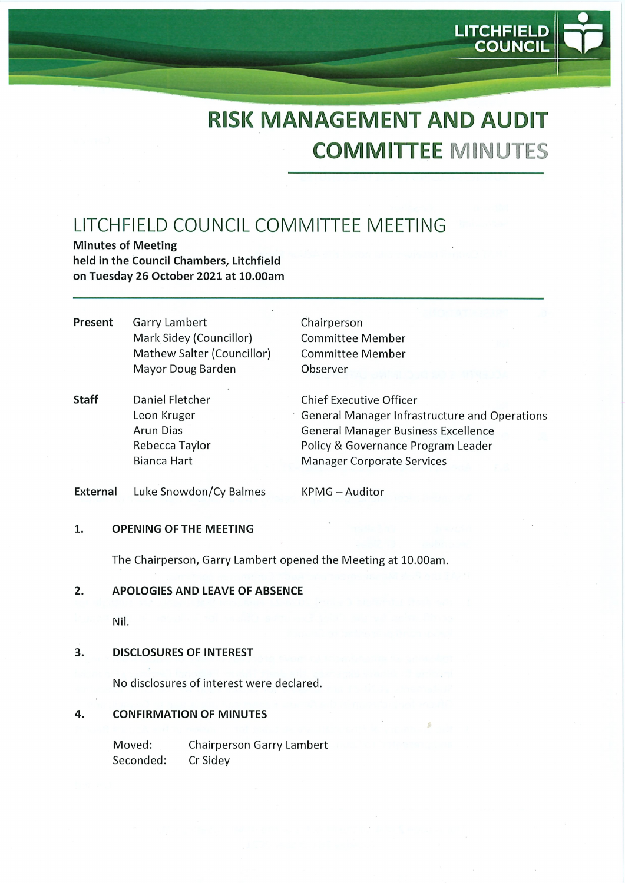**LITCHFIELD COUNCIL** 

# LITCHFIELD COUNCIL COMMITTEE MEETING

Minutes of Meeting held in the Council Chambers, Litchfield on Tuesday 26 October 2021 at 10.00am

- Present Garry Lambert Mark Sidey (Councillor) Mathew Salter (Councillor) Mayor Doug Barden
- Chairperson Committee Member Committee Member Observer
- Staff Daniel Fletcher Leon Kruger Arun Dias Rebecca Taylor Bianca Hart Chief Executive Officer General Manager Infrastructure and Operations General Manager Business Excellence Policy & Governance Program Leader Manager Corporate Services

External Luke Snowdon/Cy Balmes

KPMG-Auditor

#### 1. OPENING OF THE MEETING

The Chairperson, Garry Lambert opened the Meeting at 10.00am.

## 2. APOLOGIES AND LEAVE OF ABSENCE

Nil.

## 3. DISCLOSURES OF INTEREST

No disclosures of interest were declared.

## 4. CONFIRMATION OF MINUTES

Moved: Chairperson Garry Lambert Seconded: Cr Sidey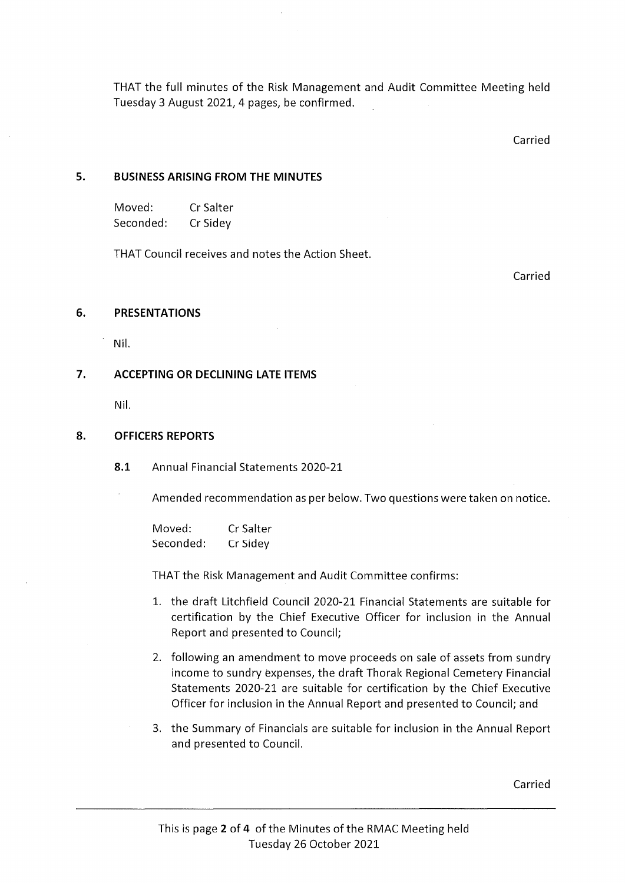THAT the full minutes of the Risk Management and Audit Committee Meeting held Tuesday 3 August 2021, 4 pages, be confirmed.

Carried

## 5. BUSINESS ARISING FROM THE MINUTES

| Moved:    | Cr Salter |
|-----------|-----------|
| Seconded: | Cr Sidey  |

THAT Council receives and notes the Action Sheet.

Carried

## 6. PRESENTATIONS

Nil.

## 7. ACCEPTING OR DECLINING LATE ITEMS

Nil.

## 8. OFFICERS REPORTS

8.1 Annual Financial Statements 2020-21

Amended recommendation as per below. Two questions were taken on notice.

Moved: CrSalter Seconded: CrSidey

THAT the Risk Management and Audit Committee confirms:

- 1. the draft Litchfield Council 2020-21 Financial Statements are suitable for certification by the Chief Executive Officer for inclusion in the Annual Report and presented to Council;
- 2. following an amendment to move proceeds on sale of assets from sundry income to sundry expenses, the draft Thorak Regional Cemetery Financial Statements 2020-21 are suitable for certification by the Chief Executive Officer for inclusion in the Annual Report and presented to Council; and
- 3. the Summary of Financials are suitable for inclusion in the Annual Report and presented to Council.

Carried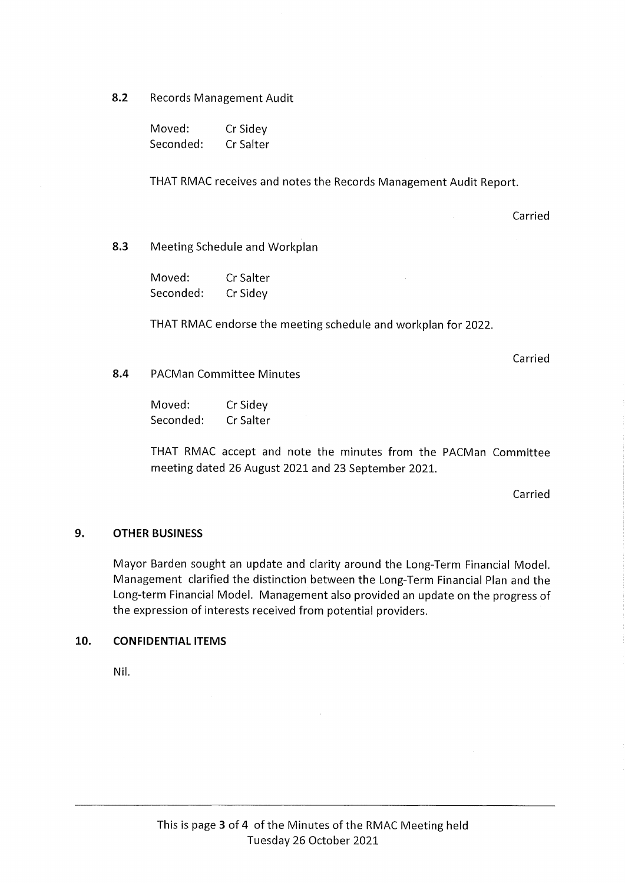8.2 Records Management Audit

Moved: Cr Sidey Seconded: Cr Salter

THAT RMAC receives and notes the Records Management Audit Report.

Carried

#### 8.3 Meeting Schedule and Workplan

Moved: CrSalter Seconded: CrSidey

THAT RMAC endorse the meeting schedule and workplan for 2022.

Carried

8.4 PACMan Committee Minutes

| Moved:    | Cr Sidey  |
|-----------|-----------|
| Seconded: | Cr Salter |

THAT RMAC accept and note the minutes from the PACMan Committee meeting dated 26 August 2021 and 23 September 2021.

Carried

#### 9. OTHER BUSINESS

Mayor Barden sought an update and clarity around the Long-Term Financial Model. Management clarified the distinction between the Long-Term Financial Plan and the Long-term Financial Model. Management also provided an update on the progress of the expression of interests received from potential providers.

## 10. CONFIDENTIAL ITEMS

Nil.